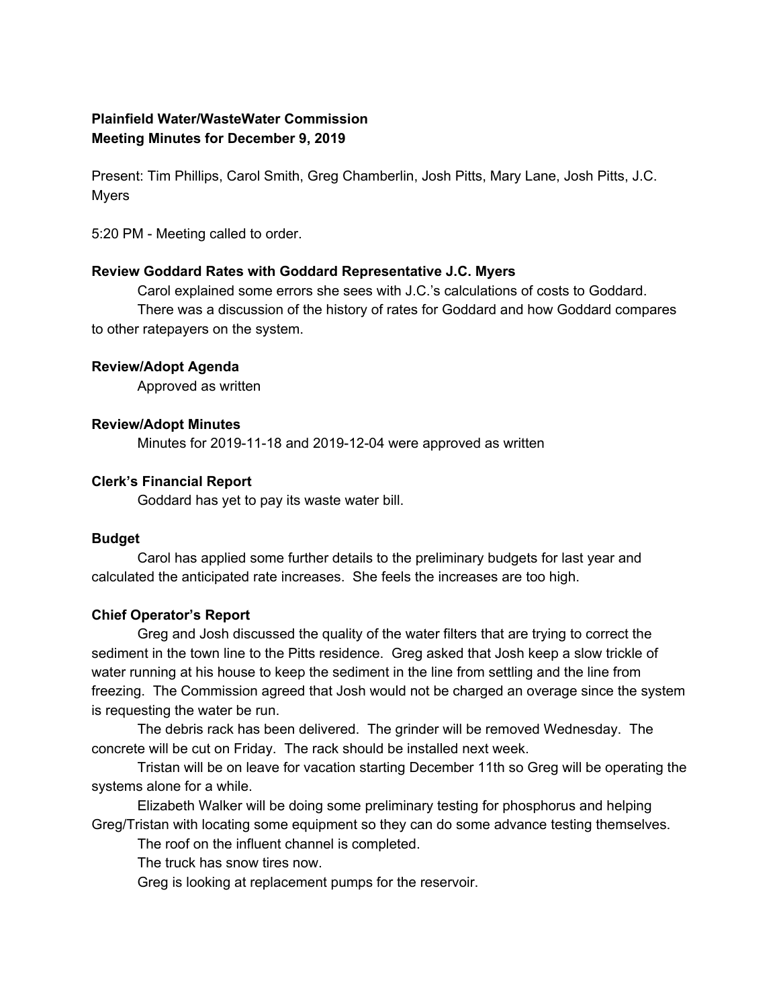# **Plainfield Water/WasteWater Commission Meeting Minutes for December 9, 2019**

Present: Tim Phillips, Carol Smith, Greg Chamberlin, Josh Pitts, Mary Lane, Josh Pitts, J.C. Myers

5:20 PM - Meeting called to order.

### **Review Goddard Rates with Goddard Representative J.C. Myers**

Carol explained some errors she sees with J.C.'s calculations of costs to Goddard. There was a discussion of the history of rates for Goddard and how Goddard compares to other ratepayers on the system.

#### **Review/Adopt Agenda**

Approved as written

### **Review/Adopt Minutes**

Minutes for 2019-11-18 and 2019-12-04 were approved as written

### **Clerk's Financial Report**

Goddard has yet to pay its waste water bill.

### **Budget**

Carol has applied some further details to the preliminary budgets for last year and calculated the anticipated rate increases. She feels the increases are too high.

### **Chief Operator's Report**

Greg and Josh discussed the quality of the water filters that are trying to correct the sediment in the town line to the Pitts residence. Greg asked that Josh keep a slow trickle of water running at his house to keep the sediment in the line from settling and the line from freezing. The Commission agreed that Josh would not be charged an overage since the system is requesting the water be run.

The debris rack has been delivered. The grinder will be removed Wednesday. The concrete will be cut on Friday. The rack should be installed next week.

Tristan will be on leave for vacation starting December 11th so Greg will be operating the systems alone for a while.

Elizabeth Walker will be doing some preliminary testing for phosphorus and helping Greg/Tristan with locating some equipment so they can do some advance testing themselves.

The roof on the influent channel is completed.

The truck has snow tires now.

Greg is looking at replacement pumps for the reservoir.